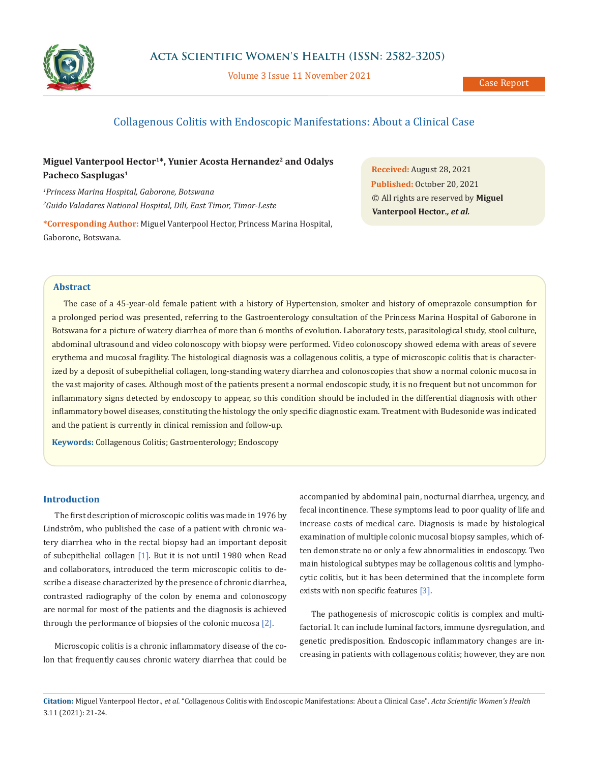

Volume 3 Issue 11 November 2021

# Collagenous Colitis with Endoscopic Manifestations: About a Clinical Case

## **Miguel Vanterpool Hector1\*, Yunier Acosta Hernandez2 and Odalys Pacheco Sasplugas1**

*1 Princess Marina Hospital, Gaborone, Botswana 2 Guido Valadares National Hospital, Dili, East Timor, Timor-Leste*

**\*Corresponding Author:** Miguel Vanterpool Hector, Princess Marina Hospital, Gaborone, Botswana.

**Received:** August 28, 2021 **Published:** October 20, 2021 © All rights are reserved by **Miguel Vanterpool Hector***., et al.*

## **Abstract**

The case of a 45-year-old female patient with a history of Hypertension, smoker and history of omeprazole consumption for a prolonged period was presented, referring to the Gastroenterology consultation of the Princess Marina Hospital of Gaborone in Botswana for a picture of watery diarrhea of more than 6 months of evolution. Laboratory tests, parasitological study, stool culture, abdominal ultrasound and video colonoscopy with biopsy were performed. Video colonoscopy showed edema with areas of severe erythema and mucosal fragility. The histological diagnosis was a collagenous colitis, a type of microscopic colitis that is characterized by a deposit of subepithelial collagen, long-standing watery diarrhea and colonoscopies that show a normal colonic mucosa in the vast majority of cases. Although most of the patients present a normal endoscopic study, it is no frequent but not uncommon for inflammatory signs detected by endoscopy to appear, so this condition should be included in the differential diagnosis with other inflammatory bowel diseases, constituting the histology the only specific diagnostic exam. Treatment with Budesonide was indicated and the patient is currently in clinical remission and follow-up.

**Keywords:** Collagenous Colitis; Gastroenterology; Endoscopy

#### **Introduction**

The first description of microscopic colitis was made in 1976 by Lindstrôm, who published the case of a patient with chronic watery diarrhea who in the rectal biopsy had an important deposit of subepithelial collagen [1]. But it is not until 1980 when Read and collaborators, introduced the term microscopic colitis to describe a disease characterized by the presence of chronic diarrhea, contrasted radiography of the colon by enema and colonoscopy are normal for most of the patients and the diagnosis is achieved through the performance of biopsies of the colonic mucosa [2].

Microscopic colitis is a chronic inflammatory disease of the colon that frequently causes chronic watery diarrhea that could be accompanied by abdominal pain, nocturnal diarrhea, urgency, and fecal incontinence. These symptoms lead to poor quality of life and increase costs of medical care. Diagnosis is made by histological examination of multiple colonic mucosal biopsy samples, which often demonstrate no or only a few abnormalities in endoscopy. Two main histological subtypes may be collagenous colitis and lymphocytic colitis, but it has been determined that the incomplete form exists with non specific features [3].

The pathogenesis of microscopic colitis is complex and multifactorial. It can include luminal factors, immune dysregulation, and genetic predisposition. Endoscopic inflammatory changes are increasing in patients with collagenous colitis; however, they are non

**Citation:** Miguel Vanterpool Hector*., et al.* "Collagenous Colitis with Endoscopic Manifestations: About a Clinical Case". *Acta Scientific Women's Health*  3.11 (2021): 21-24.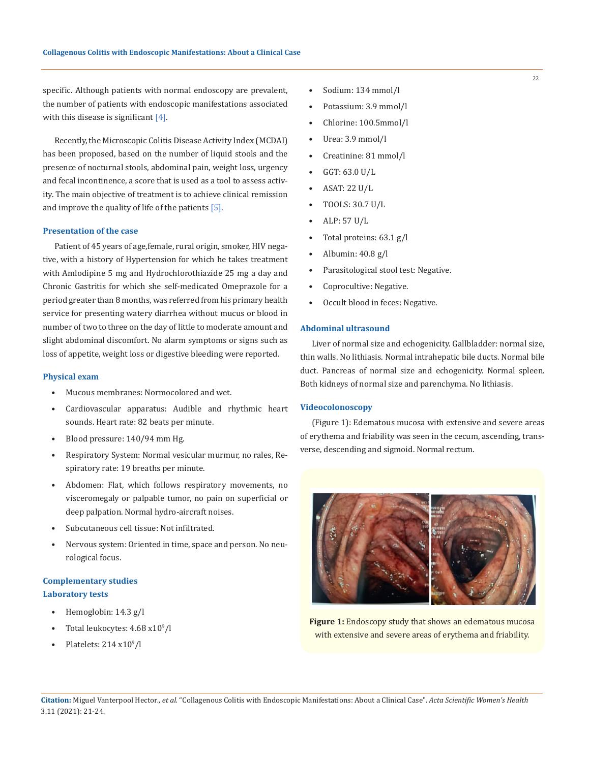specific. Although patients with normal endoscopy are prevalent, the number of patients with endoscopic manifestations associated with this disease is significant  $[4]$ .

Recently, the Microscopic Colitis Disease Activity Index (MCDAI) has been proposed, based on the number of liquid stools and the presence of nocturnal stools, abdominal pain, weight loss, urgency and fecal incontinence, a score that is used as a tool to assess activity. The main objective of treatment is to achieve clinical remission and improve the quality of life of the patients [5].

#### **Presentation of the case**

Patient of 45 years of age,female, rural origin, smoker, HIV negative, with a history of Hypertension for which he takes treatment with Amlodipine 5 mg and Hydrochlorothiazide 25 mg a day and Chronic Gastritis for which she self-medicated Omeprazole for a period greater than 8 months, was referred from his primary health service for presenting watery diarrhea without mucus or blood in number of two to three on the day of little to moderate amount and slight abdominal discomfort. No alarm symptoms or signs such as loss of appetite, weight loss or digestive bleeding were reported.

#### **Physical exam**

- Mucous membranes: Normocolored and wet.
- Cardiovascular apparatus: Audible and rhythmic heart sounds. Heart rate: 82 beats per minute.
- Blood pressure: 140/94 mm Hg.
- Respiratory System: Normal vesicular murmur, no rales, Respiratory rate: 19 breaths per minute.
- Abdomen: Flat, which follows respiratory movements, no visceromegaly or palpable tumor, no pain on superficial or deep palpation. Normal hydro-aircraft noises.
- Subcutaneous cell tissue: Not infiltrated.
- Nervous system: Oriented in time, space and person. No neurological focus.

## **Complementary studies Laboratory tests**

- Hemoglobin: 14.3 g/l
- Total leukocytes:  $4.68 \times 10^9$ /l
- Platelets:  $214 \times 10^9$ /l
- Sodium: 134 mmol/l
- Potassium: 3.9 mmol/l
- Chlorine: 100.5mmol/l
- Urea: 3.9 mmol/l
- Creatinine: 81 mmol/l
- GGT: 63.0 U/L
- ASAT: 22 U/L
- TOOLS: 30.7 U/L
- ALP: 57 U/L
- Total proteins: 63.1 g/l
- Albumin: 40.8 g/l
- Parasitological stool test: Negative.
- Coprocultive: Negative.
- Occult blood in feces: Negative.

## **Abdominal ultrasound**

Liver of normal size and echogenicity. Gallbladder: normal size, thin walls. No lithiasis. Normal intrahepatic bile ducts. Normal bile duct. Pancreas of normal size and echogenicity. Normal spleen. Both kidneys of normal size and parenchyma. No lithiasis.

#### **Videocolonoscopy**

(Figure 1): Edematous mucosa with extensive and severe areas of erythema and friability was seen in the cecum, ascending, transverse, descending and sigmoid. Normal rectum.



**Figure 1:** Endoscopy study that shows an edematous mucosa with extensive and severe areas of erythema and friability.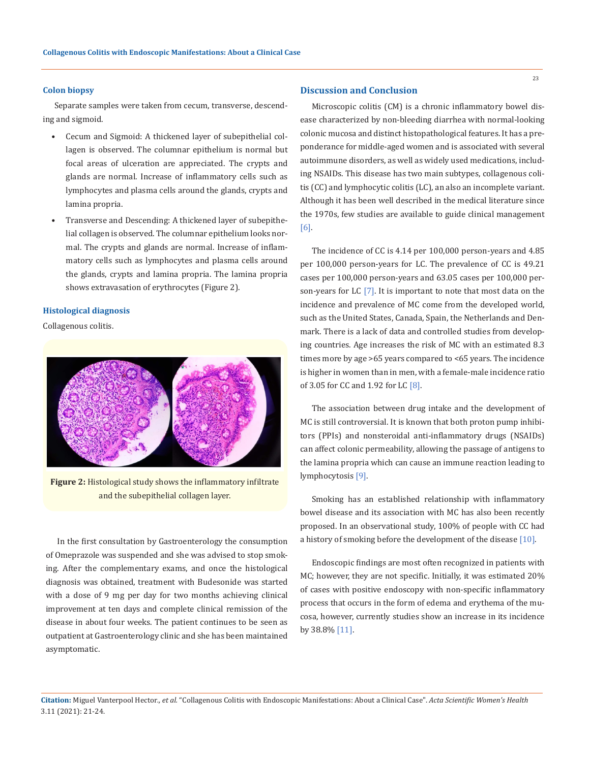#### **Colon biopsy**

Separate samples were taken from cecum, transverse, descending and sigmoid.

- Cecum and Sigmoid: A thickened layer of subepithelial collagen is observed. The columnar epithelium is normal but focal areas of ulceration are appreciated. The crypts and glands are normal. Increase of inflammatory cells such as lymphocytes and plasma cells around the glands, crypts and lamina propria.
- Transverse and Descending: A thickened layer of subepithelial collagen is observed. The columnar epithelium looks normal. The crypts and glands are normal. Increase of inflammatory cells such as lymphocytes and plasma cells around the glands, crypts and lamina propria. The lamina propria shows extravasation of erythrocytes (Figure 2).

#### **Histological diagnosis**

Collagenous colitis.



**Figure 2:** Histological study shows the inflammatory infiltrate and the subepithelial collagen layer.

In the first consultation by Gastroenterology the consumption of Omeprazole was suspended and she was advised to stop smoking. After the complementary exams, and once the histological diagnosis was obtained, treatment with Budesonide was started with a dose of 9 mg per day for two months achieving clinical improvement at ten days and complete clinical remission of the disease in about four weeks. The patient continues to be seen as outpatient at Gastroenterology clinic and she has been maintained asymptomatic.

### **Discussion and Conclusion**

Microscopic colitis (CM) is a chronic inflammatory bowel disease characterized by non-bleeding diarrhea with normal-looking colonic mucosa and distinct histopathological features. It has a preponderance for middle-aged women and is associated with several autoimmune disorders, as well as widely used medications, including NSAIDs. This disease has two main subtypes, collagenous colitis (CC) and lymphocytic colitis (LC), an also an incomplete variant. Although it has been well described in the medical literature since the 1970s, few studies are available to guide clinical management [6].

The incidence of CC is 4.14 per 100,000 person-years and 4.85 per 100,000 person-years for LC. The prevalence of CC is 49.21 cases per 100,000 person-years and 63.05 cases per 100,000 person-years for LC [7]. It is important to note that most data on the incidence and prevalence of MC come from the developed world, such as the United States, Canada, Spain, the Netherlands and Denmark. There is a lack of data and controlled studies from developing countries. Age increases the risk of MC with an estimated 8.3 times more by age >65 years compared to <65 years. The incidence is higher in women than in men, with a female-male incidence ratio of 3.05 for CC and 1.92 for LC [8].

The association between drug intake and the development of MC is still controversial. It is known that both proton pump inhibitors (PPIs) and nonsteroidal anti-inflammatory drugs (NSAIDs) can affect colonic permeability, allowing the passage of antigens to the lamina propria which can cause an immune reaction leading to lymphocytosis [9].

Smoking has an established relationship with inflammatory bowel disease and its association with MC has also been recently proposed. In an observational study, 100% of people with CC had a history of smoking before the development of the disease [10].

Endoscopic findings are most often recognized in patients with MC; however, they are not specific. Initially, it was estimated 20% of cases with positive endoscopy with non-specific inflammatory process that occurs in the form of edema and erythema of the mucosa, however, currently studies show an increase in its incidence by 38.8% [11].